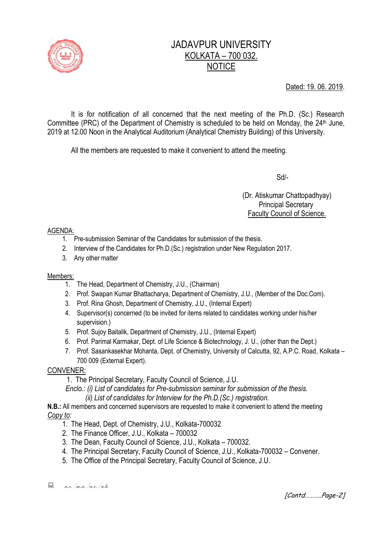

# JADAVPUR UNIVERSITY KOLKATA – 700 032. **NOTICE**

Dated: 19. 06. 2019.

It is for notification of all concerned that the next meeting of the Ph.D. (Sc.) Research Committee (PRC) of the Department of Chemistry is scheduled to be held on Monday, the 24<sup>th</sup> June, 2019 at 12.00 Noon in the Analytical Auditorium (Analytical Chemistry Building) of this University.

All the members are requested to make it convenient to attend the meeting.

Sd/-

 (Dr. Atiskumar Chattopadhyay) Principal Secretary Faculty Council of Science.

### AGENDA:

- 1. Pre-submission Seminar of the Candidates for submission of the thesis.
- 2. Interview of the Candidates for Ph.D.(Sc.) registration under New Regulation 2017.
- 3. Any other matter

#### Members:

- 1. The Head, Department of Chemistry, J.U., (Chairman)
- 2. Prof. Swapan Kumar Bhattacharya, Department of Chemistry, J.U., (Member of the Doc.Com).
- 3. Prof. Rina Ghosh, Department of Chemistry, J.U., (Internal Expert)
- 4. Supervisor(s) concerned (to be invited for items related to candidates working under his/her supervision.)
- 5. Prof. Sujoy Baitalik, Department of Chemistry, J.U., (Internal Expert)
- 6. Prof. Parimal Karmakar, Dept. of Life Science & Biotechnology, J. U., (other than the Dept.)
- 7. Prof. Sasankasekhar Mohanta, Dept. of Chemistry, University of Calcutta, 92, A.P.C. Road, Kolkata 700 009 (External Expert).

### CONVENER:

1. The Principal Secretary, Faculty Council of Science, J.U.

 *Enclo.: (i) List of candidates for Pre-submission seminar for submission of the thesis.*

 *(ii) List of candidates for Interview for the Ph.D.(Sc.) registration.*

**N.B.:** All members and concerned supervisors are requested to make it convenient to attend the meeting *Copy to:* 

- 1. The Head, Dept. of Chemistry, J.U., Kolkata-700032
- 2. The Finance Officer, J.U., Kolkata 700032
- 3. The Dean, Faculty Council of Science, J.U., Kolkata 700032.
- 4. The Principal Secretary, Faculty Council of Science, J.U., Kolkata-700032 Convener.
- 5. The Office of the Principal Secretary, Faculty Council of Science, J.U.

 $a.e.$ /m.a./a.r./a.b.

[Contd………..Page-2]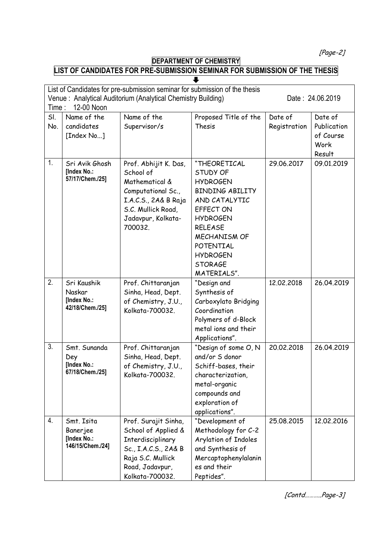[Page-2]

## **DEPARTMENT OF CHEMISTRY**

# **LIST OF CANDIDATES FOR PRE-SUBMISSION SEMINAR FOR SUBMISSION OF THE THESIS**

|            | List of Candidates for pre-submission seminar for submission of the thesis<br>Venue: Analytical Auditorium (Analytical Chemistry Building)<br>Date: 24.06.2019<br>12-00 Noon<br>Time: |                                                                                                                                                           |                                                                                                                                                                                                                                         |                         |                                                       |  |
|------------|---------------------------------------------------------------------------------------------------------------------------------------------------------------------------------------|-----------------------------------------------------------------------------------------------------------------------------------------------------------|-----------------------------------------------------------------------------------------------------------------------------------------------------------------------------------------------------------------------------------------|-------------------------|-------------------------------------------------------|--|
| SI.<br>No. | Name of the<br>candidates<br>[Index No]                                                                                                                                               | Name of the<br>Supervisor/s                                                                                                                               | Proposed Title of the<br>Thesis                                                                                                                                                                                                         | Date of<br>Registration | Date of<br>Publication<br>of Course<br>Work<br>Result |  |
| 1.         | Sri Avik Ghosh<br>[Index No.:<br>57/17/Chem./25]                                                                                                                                      | Prof. Abhijit K. Das,<br>School of<br>Mathematical &<br>Computational Sc.,<br>I.A.C.S., 2A& B Raja<br>S.C. Mullick Road,<br>Jadavpur, Kolkata-<br>700032. | "THEORETICAL<br><b>STUDY OF</b><br><b>HYDROGEN</b><br><b>BINDING ABILITY</b><br>AND CATALYTIC<br>EFFECT ON<br><b>HYDROGEN</b><br><b>RELEASE</b><br><b>MECHANISM OF</b><br>POTENTIAL<br><b>HYDROGEN</b><br><b>STORAGE</b><br>MATERIALS". | 29.06.2017              | 09.01.2019                                            |  |
| 2.         | Sri Kaushik<br>Naskar<br>[Index No.:<br>42/18/Chem./25]                                                                                                                               | Prof. Chittaranjan<br>Sinha, Head, Dept.<br>of Chemistry, J.U.,<br>Kolkata-700032.                                                                        | "Design and<br>Synthesis of<br>Carboxylato Bridging<br>Coordination<br>Polymers of d-Block<br>metal ions and their<br>Applications".                                                                                                    | 12.02.2018              | 26.04.2019                                            |  |
| 3.         | Smt. Sunanda<br>Dey<br>[Index No.:<br>67/18/Chem./25]                                                                                                                                 | Prof. Chittaranjan<br>Sinha, Head, Dept.<br>of Chemistry, J.U.,<br>Kolkata-700032.                                                                        | "Design of some O, N<br>and/or S donor<br>Schiff-bases, their<br>characterization,<br>metal-organic<br>compounds and<br>exploration of<br>applications".                                                                                | 20.02.2018              | 26.04.2019                                            |  |
| 4.         | Smt. Isita<br><b>Banerjee</b><br>[Index No.:<br>146/15/Chem./24]                                                                                                                      | Prof. Surajit Sinha,<br>School of Applied &<br>Interdisciplinary<br>Sc., I.A.C.S., 2A& B<br>Raja S.C. Mullick<br>Road, Jadavpur,<br>Kolkata-700032.       | "Development of<br>Methodology for C-2<br>Arylation of Indoles<br>and Synthesis of<br>Mercaptophenylalanin<br>es and their<br>Peptides".                                                                                                | 25.08.2015              | 12.02.2016                                            |  |

[Contd………..Page-3]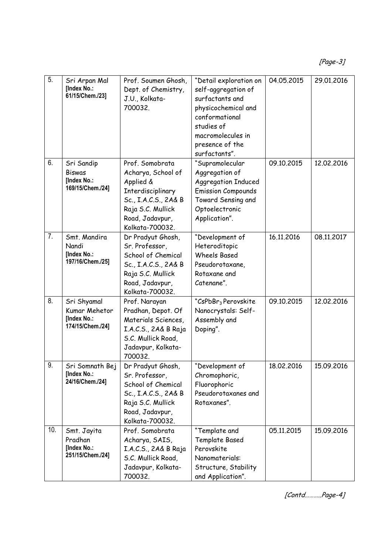[Page-3]

| 5.  | Sri Arpan Mal<br>[Index No.:<br>61/15/Chem./23]                 | Prof. Soumen Ghosh,<br>Dept. of Chemistry,<br>J.U., Kolkata-<br>700032.                                                                                    | "Detail exploration on<br>self-aggregation of<br>surfactants and<br>physicochemical and<br>conformational<br>studies of<br>macromolecules in<br>presence of the<br>surfactants". | 04.05.2015 | 29.01.2016 |
|-----|-----------------------------------------------------------------|------------------------------------------------------------------------------------------------------------------------------------------------------------|----------------------------------------------------------------------------------------------------------------------------------------------------------------------------------|------------|------------|
| 6.  | Sri Sandip<br><b>Biswas</b><br>[Index No.:<br>169/15/Chem./24]  | Prof. Somobrata<br>Acharya, School of<br>Applied &<br>Interdisciplinary<br>Sc., I.A.C.S., 2A& B<br>Raja S.C. Mullick<br>Road, Jadavpur,<br>Kolkata-700032. | "Supramolecular<br>Aggregation of<br><b>Aggregation Induced</b><br><b>Emission Compounds</b><br>Toward Sensing and<br>Optoelectronic<br>Application".                            | 09.10.2015 | 12.02.2016 |
| 7.  | Smt. Mandira<br>Nandi<br>[Index No.:<br>197/16/Chem./25]        | Dr Pradyut Ghosh,<br>Sr. Professor,<br>School of Chemical<br>Sc., I.A.C.S., 2A& B<br>Raja S.C. Mullick<br>Road, Jadavpur,<br>Kolkata-700032.               | "Development of<br>Heteroditopic<br><b>Wheels Based</b><br>Pseudorotaxane,<br>Rotaxane and<br>Catenane".                                                                         | 16.11.2016 | 08.11.2017 |
| 8.  | Sri Shyamal<br>Kumar Mehetor<br>[Index No.:<br>174/15/Chem./24] | Prof. Narayan<br>Pradhan, Depot. Of<br>Materials Sciences,<br>I.A.C.S., 2A& B Raja<br>S.C. Mullick Road,<br>Jadavpur, Kolkata-<br>700032.                  | "CsPbBr <sub>3</sub> Perovskite<br>Nanocrystals: Self-<br>Assembly and<br>Doping".                                                                                               | 09.10.2015 | 12.02.2016 |
| 9.  | Sri Somnath Bej<br>[Index No.:<br>24/16/Chem./24]               | Dr Pradyut Ghosh,<br>Sr. Professor,<br>School of Chemical<br>Sc., I.A.C.S., 2A& B<br>Raja S.C. Mullick<br>Road, Jadavpur,<br>Kolkata-700032.               | "Development of<br>Chromophoric,<br>Fluorophoric<br>Pseudorotaxanes and<br>Rotaxanes".                                                                                           | 18.02.2016 | 15.09.2016 |
| 10. | Smt. Jayita<br>Pradhan<br>[Index No.:<br>251/15/Chem./24]       | Prof. Somobrata<br>Acharya, SAIS,<br>I.A.C.S., 2A& B Raja<br>S.C. Mullick Road,<br>Jadavpur, Kolkata-<br>700032.                                           | "Template and<br>Template Based<br>Perovskite<br>Nanomaterials:<br>Structure, Stability<br>and Application".                                                                     | 05.11.2015 | 15.09.2016 |

[Contd………..Page-4]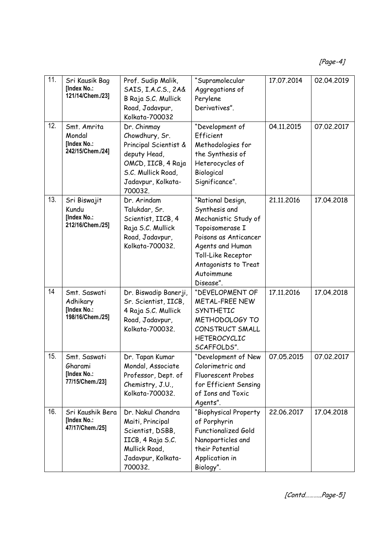| 11. | Sri Kausik Bag<br>[Index No.:<br>121/14/Chem./23]           | Prof. Sudip Malik,<br>SAIS, I.A.C.S., 2A&<br>B Raja S.C. Mullick<br>Road, Jadavpur,<br>Kolkata-700032                                               | "Supramolecular<br>Aggregations of<br>Perylene<br>Derivatives".                                                                                                                                     | 17.07.2014 | 02.04.2019 |
|-----|-------------------------------------------------------------|-----------------------------------------------------------------------------------------------------------------------------------------------------|-----------------------------------------------------------------------------------------------------------------------------------------------------------------------------------------------------|------------|------------|
| 12. | Smt. Amrita<br>Mondal<br>[Index No.:<br>242/15/Chem./24]    | Dr. Chinmay<br>Chowdhury, Sr.<br>Principal Scientist &<br>deputy Head,<br>OMCD, IICB, 4 Raja<br>S.C. Mullick Road,<br>Jadavpur, Kolkata-<br>700032. | "Development of<br>Efficient<br>Methodologies for<br>the Synthesis of<br>Heterocycles of<br>Biological<br>Significance".                                                                            | 04.11.2015 | 07.02.2017 |
| 13. | Sri Biswajit<br>Kundu<br>[Index No.:<br>212/16/Chem./25]    | Dr. Arindam<br>Talukdar, Sr.<br>Scientist, IICB, 4<br>Raja S.C. Mullick<br>Road, Jadavpur,<br>Kolkata-700032.                                       | "Rational Design,<br>Synthesis and<br>Mechanistic Study of<br>Topoisomerase I<br>Poisons as Anticancer<br>Agents and Human<br>Toll-Like Receptor<br>Antagonists to Treat<br>Autoimmune<br>Disease". | 21.11.2016 | 17.04.2018 |
| 14  | Smt. Saswati<br>Adhikary<br>[Index No.:<br>198/16/Chem./25] | Dr. Biswadip Banerji,<br>Sr. Scientist, IICB,<br>4 Raja S.C. Mullick<br>Road, Jadavpur,<br>Kolkata-700032.                                          | "DEVELOPMENT OF<br>METAL-FREE NEW<br><b>SYNTHETIC</b><br>METHODOLOGY TO<br>CONSTRUCT SMALL<br><b>HETEROCYCLIC</b><br>SCAFFOLDS".                                                                    | 17.11.2016 | 17.04.2018 |
| 15. | Smt. Saswati<br>Gharami<br>[Index No.:<br>77/15/Chem./23]   | Dr. Tapan Kumar<br>Mondal, Associate<br>Professor, Dept. of<br>Chemistry, J.U.,<br>Kolkata-700032.                                                  | "Development of New<br>Colorimetric and<br><b>Fluorescent Probes</b><br>for Efficient Sensing<br>of Ions and Toxic<br>Agents".                                                                      | 07.05.2015 | 07.02.2017 |
| 16. | Sri Kaushik Bera<br>[Index No.:<br>47/17/Chem./25]          | Dr. Nakul Chandra<br>Maiti, Principal<br>Scientist, DSBB,<br>IICB, 4 Raja S.C.<br>Mullick Road,<br>Jadavpur, Kolkata-<br>700032.                    | "Biophysical Property<br>of Porphyrin<br><b>Functionalized Gold</b><br>Nanoparticles and<br>their Potential<br>Application in<br>Biology".                                                          | 22.06.2017 | 17.04.2018 |

[Contd………..Page-5]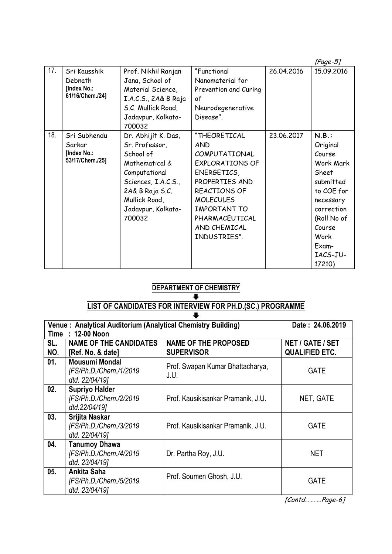|     |                                                           |                                                                                                                                                                                  |                                                                                                                                                                                                                            |            | [Page-5]                                                                                                                                                                |
|-----|-----------------------------------------------------------|----------------------------------------------------------------------------------------------------------------------------------------------------------------------------------|----------------------------------------------------------------------------------------------------------------------------------------------------------------------------------------------------------------------------|------------|-------------------------------------------------------------------------------------------------------------------------------------------------------------------------|
| 17. | Sri Kausshik<br>Debnath<br>[Index No.:<br>61/16/Chem./24] | Prof. Nikhil Ranjan<br>Jana, School of<br>Material Science,<br>I.A.C.S., 2A& B Raja<br>S.C. Mullick Road,<br>Jadavpur, Kolkata-<br>700032                                        | "Functional<br>Nanomaterial for<br>Prevention and Curing<br>of<br>Neurodegenerative<br>Disease".                                                                                                                           | 26.04.2016 | 15.09.2016                                                                                                                                                              |
| 18. | Sri Subhendu<br>Sarkar<br>[Index No.:<br>53/17/Chem./25]  | Dr. Abhijit K. Das,<br>Sr. Professor,<br>School of<br>Mathematical &<br>Computational<br>Sciences, I.A.C.S.,<br>2A& B Raja S.C.<br>Mullick Road,<br>Jadavpur, Kolkata-<br>700032 | "THEORETICAL<br><b>AND</b><br>COMPUTATIONAL<br><b>EXPLORATIONS OF</b><br>ENERGETICS,<br>PROPERTIES AND<br><b>REACTIONS OF</b><br><b>MOLECULES</b><br><b>IMPORTANT TO</b><br>PHARMACEUTICAL<br>AND CHEMICAL<br>INDUSTRIES". | 23.06.2017 | N.B.:<br>Original<br>Course<br>Work Mark<br>Sheet<br>submitted<br>to COE for<br>necessary<br>correction<br>(Roll No of<br>Course<br>Work<br>Exam-<br>IACS-JU-<br>17210) |

### **DEPARTMENT OF CHEMISTRY**  $\ddot{\phantom{1}}$

#### **LIST OF CANDIDATES FOR INTERVIEW FOR PH.D.(SC.) PROGRAMME**  $\overline{\mathbf{r}}$

| Venue: Analytical Auditorium (Analytical Chemistry Building)<br>Date: 24.06.2019<br>Time : 12-00 Noon |                                                                   |                                                  |                                                  |  |
|-------------------------------------------------------------------------------------------------------|-------------------------------------------------------------------|--------------------------------------------------|--------------------------------------------------|--|
| SL.<br>NO.                                                                                            | <b>NAME OF THE CANDIDATES</b><br>[Ref. No. & date]                | <b>NAME OF THE PROPOSED</b><br><b>SUPERVISOR</b> | <b>NET / GATE / SET</b><br><b>QUALIFIED ETC.</b> |  |
| 01.                                                                                                   | <b>Mousumi Mondal</b><br>[FS/Ph.D./Chem./1/2019<br>dtd. 22/04/19] | Prof. Swapan Kumar Bhattacharya,<br>J.U.         | <b>GATE</b>                                      |  |
| 02.                                                                                                   | <b>Supriyo Halder</b><br>[FS/Ph.D./Chem./2/2019<br>dtd.22/04/191  | Prof. Kausikisankar Pramanik, J.U.               | NET, GATE                                        |  |
| 03.                                                                                                   | Srijita Naskar<br>[FS/Ph.D./Chem./3/2019<br>dtd. 22/04/19]        | Prof. Kausikisankar Pramanik, J.U.               | <b>GATE</b>                                      |  |
| 04.                                                                                                   | <b>Tanumoy Dhawa</b><br>[FS/Ph.D./Chem./4/2019<br>dtd. 23/04/19]  | Dr. Partha Roy, J.U.                             | <b>NET</b>                                       |  |
| 05.                                                                                                   | Ankita Saha<br>[FS/Ph.D./Chem./5/2019<br>dtd. 23/04/191           | Prof. Soumen Ghosh, J.U.                         | <b>GATE</b>                                      |  |

[Contd..........Page-6]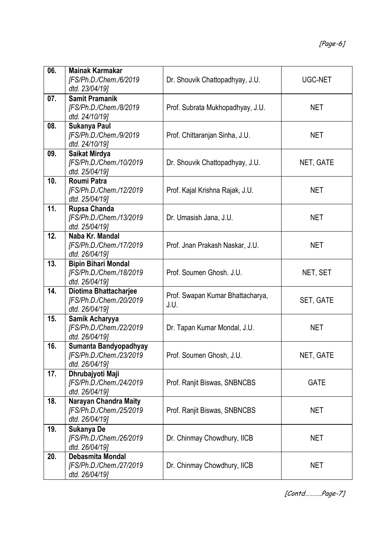| 06. | <b>Mainak Karmakar</b><br>[FS/Ph.D./Chem./6/2019<br>dtd. 23/04/19]      | Dr. Shouvik Chattopadhyay, J.U.          | UGC-NET     |
|-----|-------------------------------------------------------------------------|------------------------------------------|-------------|
| 07. | <b>Samit Pramanik</b><br>[FS/Ph.D./Chem./8/2019<br>dtd. 24/10/19]       | Prof. Subrata Mukhopadhyay, J.U.         | <b>NET</b>  |
| 08. | Sukanya Paul<br>[FS/Ph.D./Chem./9/2019<br>dtd. 24/10/19]                | Prof. Chittaranjan Sinha, J.U.           | <b>NET</b>  |
| 09. | Saikat Mirdya<br>[FS/Ph.D./Chem./10/2019<br>dtd. 25/04/19]              | Dr. Shouvik Chattopadhyay, J.U.          | NET, GATE   |
| 10. | Roumi Patra<br>[FS/Ph.D./Chem./12/2019<br>dtd. 25/04/19]                | Prof. Kajal Krishna Rajak, J.U.          | <b>NET</b>  |
| 11. | Rupsa Chanda<br>[FS/Ph.D./Chem./13/2019<br>dtd. 25/04/19]               | Dr. Umasish Jana, J.U.                   | <b>NET</b>  |
| 12. | Naba Kr. Mandal<br>[FS/Ph.D./Chem./17/2019<br>dtd. 26/04/19]            | Prof. Jnan Prakash Naskar, J.U.          | <b>NET</b>  |
| 13. | <b>Bipin Bihari Mondal</b><br>[FS/Ph.D./Chem./18/2019<br>dtd. 26/04/19] | Prof. Soumen Ghosh. J.U.                 | NET, SET    |
| 14. | Diotima Bhattacharjee<br>[FS/Ph.D./Chem./20/2019<br>dtd. 26/04/19]      | Prof. Swapan Kumar Bhattacharya,<br>J.U. | SET, GATE   |
| 15. | Samik Acharyya<br>[FS/Ph.D./Chem./22/2019<br>dtd. 26/04/19]             | Dr. Tapan Kumar Mondal, J.U.             | <b>NET</b>  |
| 16. | Sumanta Bandyopadhyay<br>[FS/Ph.D./Chem./23/2019<br>dtd. 26/04/19]      | Prof. Soumen Ghosh, J.U.                 | NET, GATE   |
| 17. | Dhrubajyoti Maji<br>[FS/Ph.D./Chem./24/2019<br>dtd. 26/04/19]           | Prof. Ranjit Biswas, SNBNCBS             | <b>GATE</b> |
| 18. | Narayan Chandra Maity<br>[FS/Ph.D./Chem./25/2019<br>dtd. 26/04/19]      | Prof. Ranjit Biswas, SNBNCBS             | <b>NET</b>  |
| 19. | Sukanya De<br>[FS/Ph.D./Chem./26/2019<br>dtd. 26/04/19]                 | Dr. Chinmay Chowdhury, IICB              | <b>NET</b>  |
| 20. | Debasmita Mondal<br>[FS/Ph.D./Chem./27/2019<br>dtd. 26/04/19]           | Dr. Chinmay Chowdhury, IICB              | <b>NET</b>  |

[Contd………..Page-7]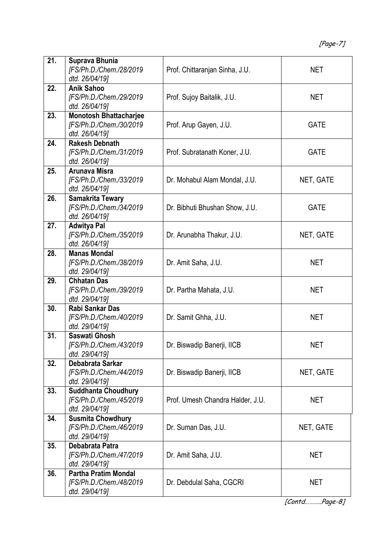| 21. | Suprava Bhunia<br>[FS/Ph.D./Chem./28/2019<br>dtd. 26/04/19]                | Prof. Chittaranjan Sinha, J.U.   | <b>NET</b>  |
|-----|----------------------------------------------------------------------------|----------------------------------|-------------|
| 22. | <b>Anik Sahoo</b><br>[FS/Ph.D./Chem./29/2019<br>dtd. 26/04/19]             | Prof. Sujoy Baitalik, J.U.       | <b>NET</b>  |
| 23. | <b>Monotosh Bhattacharjee</b><br>[FS/Ph.D./Chem./30/2019<br>dtd. 26/04/19] | Prof. Arup Gayen, J.U.           | <b>GATE</b> |
| 24. | <b>Rakesh Debnath</b><br>[FS/Ph.D./Chem./31/2019<br>dtd. 26/04/19]         | Prof. Subratanath Koner, J.U.    | <b>GATE</b> |
| 25. | <b>Arunava Misra</b><br>[FS/Ph.D./Chem./33/2019<br>dtd. 26/04/19]          | Dr. Mohabul Alam Mondal, J.U.    | NET, GATE   |
| 26. | Samakrita Tewary<br>[FS/Ph.D./Chem./34/2019<br>dtd. 26/04/19]              | Dr. Bibhuti Bhushan Show, J.U.   | <b>GATE</b> |
| 27. | <b>Adwitya Pal</b><br>[FS/Ph.D./Chem./35/2019<br>dtd. 26/04/19]            | Dr. Arunabha Thakur, J.U.        | NET, GATE   |
| 28. | <b>Manas Mondal</b><br>[FS/Ph.D./Chem./38/2019<br>dtd. 29/04/19]           | Dr. Amit Saha, J.U.              | <b>NET</b>  |
| 29. | <b>Chhatan Das</b><br>[FS/Ph.D./Chem./39/2019<br>dtd. 29/04/19]            | Dr. Partha Mahata, J.U.          | <b>NET</b>  |
| 30. | Rabi Sankar Das<br>[FS/Ph.D./Chem./40/2019<br>dtd. 29/04/19]               | Dr. Samit Ghha, J.U.             | <b>NET</b>  |
| 31. | <b>Saswati Ghosh</b><br>[FS/Ph.D./Chem./43/2019<br>dtd. 29/04/19]          | Dr. Biswadip Banerji, IICB       | <b>NET</b>  |
| 32. | Debabrata Sarkar<br>[FS/Ph.D./Chem./44/2019<br>dtd. 29/04/19]              | Dr. Biswadip Banerji, IICB       | NET, GATE   |
| 33. | <b>Suddhanta Choudhury</b><br>[FS/Ph.D./Chem./45/2019<br>dtd. 29/04/19]    | Prof. Umesh Chandra Halder, J.U. | <b>NET</b>  |
| 34. | <b>Susmita Chowdhury</b><br>[FS/Ph.D./Chem./46/2019<br>dtd. 29/04/19]      | Dr. Suman Das, J.U.              | NET, GATE   |
| 35. | Debabrata Patra<br>[FS/Ph.D./Chem./47/2019<br>dtd. 29/04/19]               | Dr. Amit Saha, J.U.              | <b>NET</b>  |
| 36. | <b>Partha Pratim Mondal</b><br>[FS/Ph.D./Chem./48/2019<br>dtd. 29/04/19]   | Dr. Debdulal Saha, CGCRI         | <b>NET</b>  |

[Contd………..Page-8]